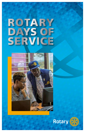# ROTARY DAYS OF SERVICE



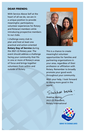#### DEAR FRIENDS:

With Service Above Self at the heart of all we do, we are in a unique position to provide meaningful, participatory volunteer experiences for Rotary and Rotaract members while introducing prospective members to our clubs.

I challenge every club to plan and host at least one practical and action-oriented Rotary Day of Service during the 2021-22 Rotary year. The event should address a challenge facing your community that fits in one or more of Rotary's areas of focus and brings together volunteers from within and outside of Rotary.



This is a chance to create meaningful volunteer opportunities for families and partnering organizations in your area, regardless of their profession or affiliation with Rotary. Remember to broadly promote your good work throughout your community.

With your help, I look forward to doing more good in the world.

Shelchar wents

Shekhar Mehta 2021-22 President, Rotary International

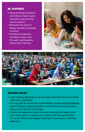## BE INSPIRED

- Motivate Rotary, Rotaract, and Interact clubs to plan innovative and practical service projects.
- Showcase the work of Rotary members as people of action.
- Introduce prospective members to your club through a participatory Rotary Day of Service.





#### GATHER IDEAS

- Look at [Rotary Showcase](https://map.rotary.org/en/project/pages/project_showcase.aspx) to see the types of projects that your fellow clubs have undertaken.
- You may wish to review the United Nations' recognized international [days](https://www.un.org/en/sections/observances/international-days/) and [Rotary's themed months](https://my.rotary.org/en/news-media/calendar) and think about scheduling your Rotary Day of Service accordingly.
- Conduct an assessment, which includes working with leaders from your community or a nearby one to determine the opportunities for service. What is the biggest challenge? How can your club help address it?